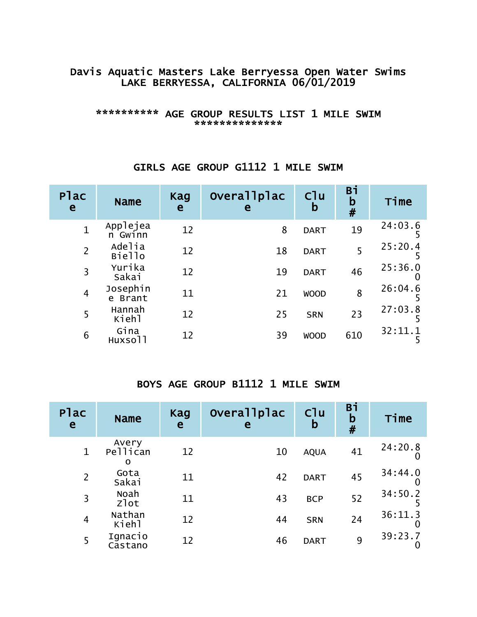## Davis Aquatic Masters Lake Berryessa Open Water Swims LAKE BERRYESSA, CALIFORNIA 06/01/2019

#### \*\*\*\*\*\*\*\*\*\* AGE GROUP RESULTS LIST 1 MILE SWIM \*\*\*\*\*\*\*\*\*\*\*\*

#### Plac lac Name Kag<br>e Name e e **Overallplac** e Clu b Bi b # Time 1 Applejea<br>n Gwinn n Gwinn <sup>12</sup> <sup>8</sup> DART <sup>19</sup> 24:03.6 5 2 Adelia<br>Biello Biello <sup>12</sup> <sup>18</sup> DART <sup>5</sup> 25:20.4 5 3 Yurika<br>Sakai Sakai <sup>12</sup> <sup>19</sup> DART <sup>46</sup> 25:36.0 0 4 Josephin<br>e Brant e Brant <sup>11</sup> <sup>21</sup> WOOD <sup>8</sup> 26:04.6 5 5 Hannah<br>Kiehl Kiehl <sup>12</sup> <sup>25</sup> SRN <sup>23</sup> 27:03.8 5 6 Gina<br>Huxsoll Huxsoll <sup>12</sup> <sup>39</sup> WOOD <sup>610</sup> 32:11.1 5

## GIRLS AGE GROUP G1112 1 MILE SWIM

#### BOYS AGE GROUP B1112 1 MILE SWIM

| Plac<br>e      | <b>Name</b>            | Kag<br>e | Overallplac<br>e | C <sup>1</sup> u<br>b | Bi<br>$\mathbf b$<br># | Time         |
|----------------|------------------------|----------|------------------|-----------------------|------------------------|--------------|
| $\mathbf{1}$   | Avery<br>Pellican<br>O | 12       | 10               | <b>AQUA</b>           | 41                     | 24:20.8      |
| $\overline{2}$ | Gota<br>Sakai          | 11       | 42               | <b>DART</b>           | 45                     | 34:44.0      |
| 3              | Noah<br>zlot           | 11       | 43               | <b>BCP</b>            | 52                     | 34:50.2      |
| $\overline{4}$ | Nathan<br>Kiehl        | 12       | 44               | <b>SRN</b>            | 24                     | 36:11.3<br>O |
| 5              | Ignacio<br>Castano     | 12       | 46               | <b>DART</b>           | 9                      | 39:23.7      |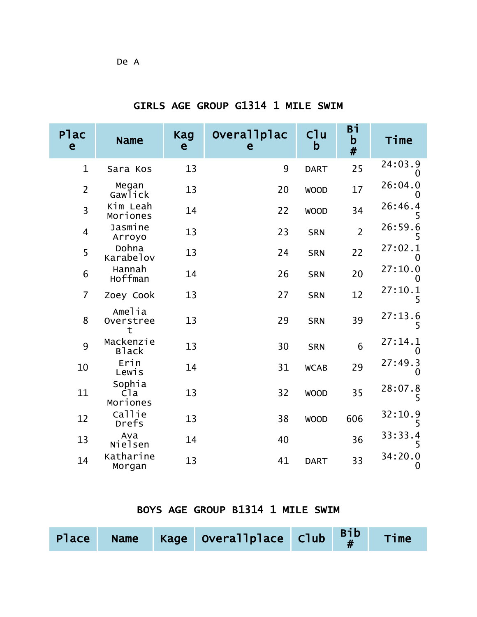| Plac<br>e      | <b>Name</b>                           | <b>Kag</b><br>e | Overallplac<br>e | Cl <sub>u</sub><br>$\mathbf b$ | Вi<br>b<br>$\#$ | Time         |
|----------------|---------------------------------------|-----------------|------------------|--------------------------------|-----------------|--------------|
| $\mathbf{1}$   | Sara Kos                              | 13              | 9                | <b>DART</b>                    | 25              | 24:03.9<br>0 |
| $\overline{2}$ | Megan<br>Gawlick                      | 13              | 20               | <b>WOOD</b>                    | 17              | 26:04.0      |
| $\overline{3}$ | Kim Leah<br>Moriones                  | 14              | 22               | <b>WOOD</b>                    | 34              | 26:46.4<br>5 |
| $\overline{4}$ | Jasmine<br>Arroyo                     | 13              | 23               | <b>SRN</b>                     | $\overline{2}$  | 26:59.6      |
| 5              | Dohna<br>Karabelov                    | 13              | 24               | <b>SRN</b>                     | 22              | 27:02.1<br>0 |
| 6              | Hannah<br>Hoffman                     | 14              | 26               | <b>SRN</b>                     | 20              | 27:10.0      |
| $\overline{7}$ | Zoey Cook                             | 13              | 27               | <b>SRN</b>                     | 12              | 27:10.1<br>5 |
| 8              | Amelia<br>Overstree<br>t              | 13              | 29               | <b>SRN</b>                     | 39              | 27:13.6<br>5 |
| 9              | Mackenzie<br><b>Black</b>             | 13              | 30               | <b>SRN</b>                     | 6               | 27:14.1<br>0 |
| 10             | Erin<br>Lewis                         | 14              | 31               | <b>WCAB</b>                    | 29              | 27:49.3<br>O |
| 11             | Sophia<br>C <sub>la</sub><br>Moriones | 13              | 32               | <b>WOOD</b>                    | 35              | 28:07.8<br>5 |
| 12             | Callie<br>Drefs                       | 13              | 38               | <b>WOOD</b>                    | 606             | 32:10.9<br>5 |
| 13             | Ava<br>Nielsen                        | 14              | 40               |                                | 36              | 33:33.4<br>5 |
| 14             | Katharine<br>Morgan                   | 13              | 41               | <b>DART</b>                    | 33              | 34:20.0<br>O |

## GIRLS AGE GROUP G1314 1 MILE SWIM

#### BOYS AGE GROUP B1314 1 MILE SWIM

|  | Place Name Kage Overallplace Club $B_{\#}^{1b}$ Time |  |  |
|--|------------------------------------------------------|--|--|
|  |                                                      |  |  |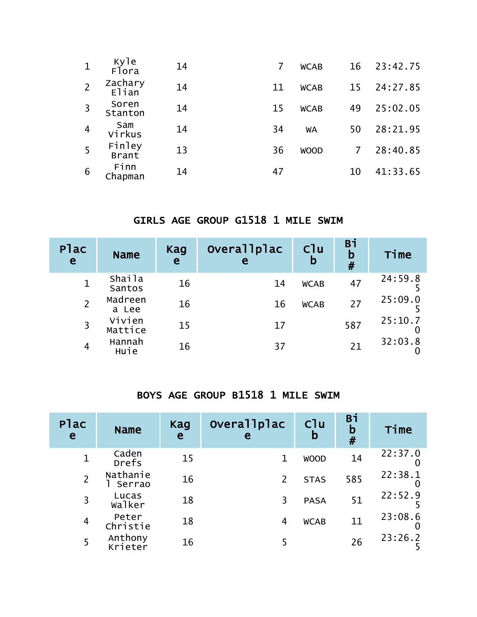| $\mathbf{1}$   | Kyle<br>Flora    | 14 | 7  | <b>WCAB</b> | 16             | 23:42.75 |
|----------------|------------------|----|----|-------------|----------------|----------|
|                | Zachary<br>Elian | 14 | 11 | <b>WCAB</b> | 15             | 24:27.85 |
| $\overline{3}$ | Soren<br>Stanton | 14 | 15 | <b>WCAB</b> | 49             | 25:02.05 |
| $\overline{4}$ | Sam<br>Virkus    | 14 | 34 | WA          | 50             | 28:21.95 |
| -5             | Finley<br>Brant  | 13 | 36 | <b>WOOD</b> | $\overline{7}$ | 28:40.85 |
| 6              | Finn<br>Chapman  | 14 | 47 |             | 10             | 41:33.65 |

#### GIRLS AGE GROUP G1518 1 MILE SWIM

| Plac<br>$\mathbf{e}$ | <b>Name</b>             | Kag<br>e | Overallplac<br>e | C1u<br>b    | Bi<br>b<br># | Time    |
|----------------------|-------------------------|----------|------------------|-------------|--------------|---------|
|                      | <b>Shaila</b><br>Santos | 16       | 14               | <b>WCAB</b> | 47           | 24:59.8 |
|                      | Madreen<br>a Lee        | 16       | 16               | <b>WCAB</b> | 27           | 25:09.0 |
| 3                    | Vivien<br>Mattice       | 15       | 17               |             | 587          | 25:10.7 |
| 4                    | Hannah<br>Huie          | 16       | 37               |             |              | 32:03.8 |

#### BOYS AGE GROUP B1518 1 MILE SWIM

| Plac<br>e      | <b>Name</b>            | Kag<br>e | overallplac<br>e | Cl <sub>u</sub><br>b | Вi<br>b<br># | Time    |
|----------------|------------------------|----------|------------------|----------------------|--------------|---------|
|                | Caden<br>Drefs         | 15       | 1                | <b>WOOD</b>          | 14           | 22:37.0 |
| $\overline{2}$ | Nathanie<br>Serrao     | 16       | $\overline{2}$   | <b>STAS</b>          | 585          | 22:38.1 |
| 3              | Lucas<br><b>Walker</b> | 18       | 3                | <b>PASA</b>          | 51           | 22:52.9 |
| $\overline{4}$ | Peter<br>Christie      | 18       | 4                | <b>WCAB</b>          | 11           | 23:08.6 |
| 5              | Anthony<br>Krieter     | 16       | 5                |                      | 26           | 23:26.2 |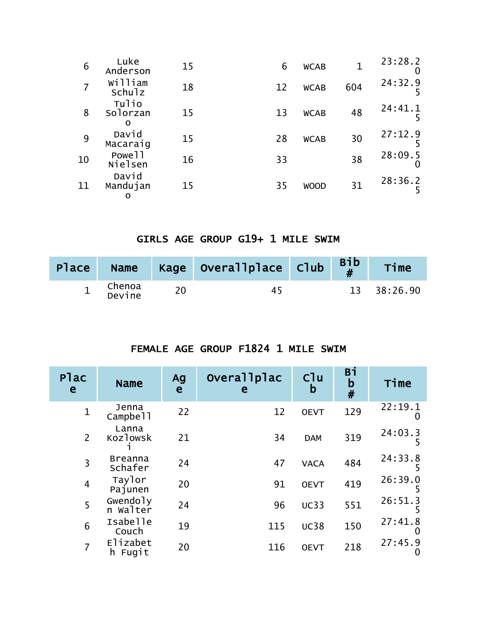| 6  | Luke<br>Anderson              | 15 | 6  | <b>WCAB</b> |     | 23:28.2<br>O |
|----|-------------------------------|----|----|-------------|-----|--------------|
|    | William<br>Schulz             | 18 | 12 | <b>WCAB</b> | 604 | 24:32.9      |
| 8  | Tulio<br>Solorzan<br>O        | 15 | 13 | <b>WCAB</b> | 48  | 24:41.1      |
| 9  | David<br>Macaraig             | 15 | 28 | <b>WCAB</b> | 30  | 27:12.9      |
| 10 | Powe <sub>11</sub><br>Nielsen | 16 | 33 |             | 38  | 28:09.5      |
| 11 | David<br>Mandujan<br>O        | 15 | 35 | <b>WOOD</b> | 31  | 28:36.2      |

## GIRLS AGE GROUP G19+ 1 MILE SWIM

| Place | <b>Name</b>      | Kage Overallplace Club | $\begin{bmatrix} \mathsf{Bib} \\ \mathsf{H} \end{bmatrix}$ | Time        |
|-------|------------------|------------------------|------------------------------------------------------------|-------------|
| ᆠ     | Chenoa<br>Devine | 45                     |                                                            | 13 38:26.90 |

#### FEMALE AGE GROUP F1824 1 MILE SWIM

| Plac<br>e      | <b>Name</b>               | Ag<br>e | Overallplac<br>e | C <sup>1</sup> u<br>b | Bi<br>$\mathbf b$<br># | Time                    |
|----------------|---------------------------|---------|------------------|-----------------------|------------------------|-------------------------|
| $\mathbf{1}$   | Jenna<br>Campbell         | 22      | 12               | <b>OEVT</b>           | 129                    | 22:19.1<br>$\mathbf{0}$ |
| $\overline{2}$ | Lanna<br>Kozlowsk         | 21      | 34               | <b>DAM</b>            | 319                    | 24:03.3<br>כ            |
| 3              | <b>Breanna</b><br>Schafer | 24      | 47               | <b>VACA</b>           | 484                    | 24:33.8                 |
| $\overline{4}$ | Taylor<br>Pajunen         | 20      | 91               | <b>OEVT</b>           | 419                    | 26:39.0                 |
| 5              | Gwendoly<br>n walter      | 24      | 96               | <b>UC33</b>           | 551                    | 26:51.3                 |
| 6              | Isabelle<br>Couch         | 19      | 115              | <b>UC38</b>           | 150                    | 27:41.8                 |
|                | Elizabet<br>Fugit<br>h    | 20      | 116              | <b>OEVT</b>           | 218                    | 27:45.9<br>O            |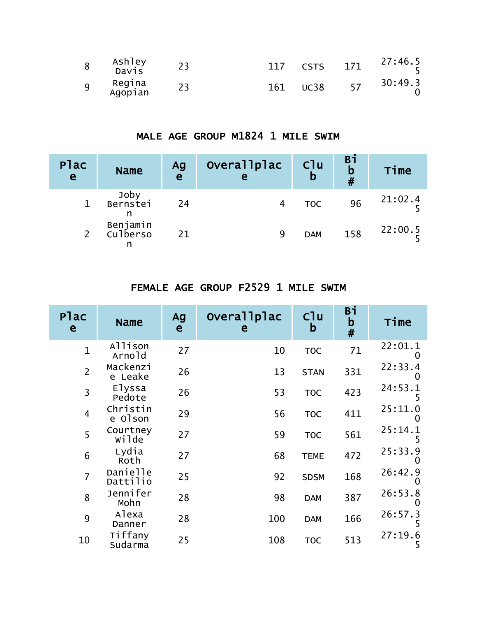| 8 | Ashley<br>Davis   |     | <b>CSTS</b> | 171 | 27:46.5 |
|---|-------------------|-----|-------------|-----|---------|
| 9 | Regina<br>Agopian | 161 | <b>UC38</b> | 57  | 30:49.3 |

### MALE AGE GROUP M1824 1 MILE SWIM

| <b>Plac</b><br>$\mathbf{e}$ | <b>Name</b>           | Ag<br>e | Overallplac<br>e | C <sup>1</sup> u<br>b | <b>Bi</b><br>b<br># | Time    |
|-----------------------------|-----------------------|---------|------------------|-----------------------|---------------------|---------|
|                             | Joby<br>Bernstei<br>n | 24      |                  | <b>TOC</b>            | 96                  | 21:02.4 |
|                             | Benjamin<br>Culberso  | 21      | 9                | <b>DAM</b>            | 158                 | 22:00.5 |

# FEMALE AGE GROUP F2529 1 MILE SWIM

| <b>Plac</b><br>e | <b>Name</b>          | Ag<br>e | Overallplac<br>е | C <sup>1</sup> u<br>$\mathsf b$ | Bi<br>$\mathbf b$<br># | Time                |
|------------------|----------------------|---------|------------------|---------------------------------|------------------------|---------------------|
| $\mathbf{1}$     | Allison<br>Arnold    | 27      | 10               | <b>TOC</b>                      | 71                     | 22:01.1<br>0        |
| $\overline{2}$   | Mackenzi<br>e Leake  | 26      | 13               | <b>STAN</b>                     | 331                    | 22:33.4<br>O        |
| $\overline{3}$   | Elyssa<br>Pedote     | 26      | 53               | <b>TOC</b>                      | 423                    | 24:53.1<br>5        |
| $\overline{4}$   | Christin<br>e Olson  | 29      | 56               | <b>TOC</b>                      | 411                    | 25:11.0             |
| 5                | Courtney<br>wilde    | 27      | 59               | <b>TOC</b>                      | 561                    | 25:14.1<br>5        |
| 6                | Lydia<br>Roth        | 27      | 68               | <b>TEME</b>                     | 472                    | 25:33.9             |
| $\overline{7}$   | Danielle<br>Dattilio | 25      | 92               | <b>SDSM</b>                     | 168                    | 26:42.9<br>$\Omega$ |
| 8                | Jennifer<br>Mohn     | 28      | 98               | <b>DAM</b>                      | 387                    | 26:53.8<br>$\Omega$ |
| 9                | Alexa<br>Danner      | 28      | 100              | <b>DAM</b>                      | 166                    | 26:57.3             |
| 10               | Tiffany<br>Sudarma   | 25      | 108              | <b>TOC</b>                      | 513                    | 27:19.6<br>5        |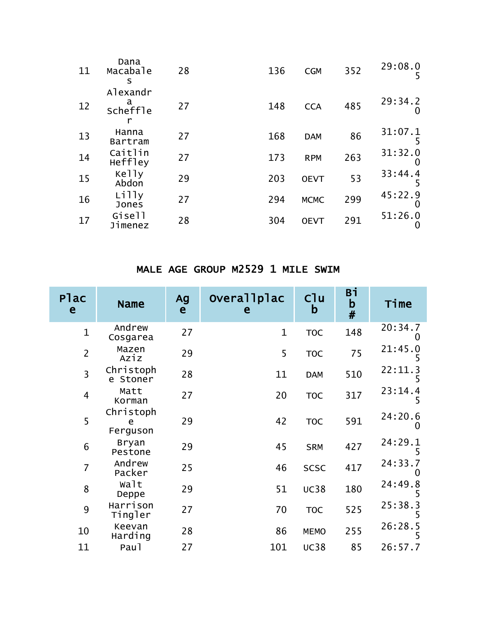| 11 | Dana<br>Macabale<br>s            | 28 | 136 | <b>CGM</b>  | 352 | 29:08.0<br>5            |
|----|----------------------------------|----|-----|-------------|-----|-------------------------|
| 12 | Alexandr<br>a<br><b>Scheffle</b> | 27 | 148 | <b>CCA</b>  | 485 | 29:34.2                 |
| 13 | Hanna<br><b>Bartram</b>          | 27 | 168 | <b>DAM</b>  | 86  | 31:07.1<br>5            |
| 14 | Caitlin<br>Heffley               | 27 | 173 | <b>RPM</b>  | 263 | 31:32.0                 |
| 15 | Kelly<br>Abdon                   | 29 | 203 | <b>OEVT</b> | 53  | 33:44.4<br>5            |
| 16 | Lilly<br>Jones                   | 27 | 294 | <b>MCMC</b> | 299 | 45:22.9<br>$\mathbf{0}$ |
| 17 | Gisell<br>Jimenez                | 28 | 304 | <b>OEVT</b> | 291 | 51:26.0                 |

#### MALE AGE GROUP M2529 1 MILE SWIM

| Plac<br>e      | <b>Name</b>                | Ag<br>e | Overallplac<br>e | Clu<br>b    | Вi<br>$\mathbf b$<br># | Time                |
|----------------|----------------------------|---------|------------------|-------------|------------------------|---------------------|
| $\mathbf{1}$   | Andrew<br>Cosgarea         | 27      | $\mathbf{1}$     | <b>TOC</b>  | 148                    | 20:34.7             |
| $\overline{2}$ | Mazen<br>Aziz              | 29      | 5                | <b>TOC</b>  | 75                     | 21:45.0<br>5        |
| $\overline{3}$ | Christoph<br>e Stoner      | 28      | 11               | <b>DAM</b>  | 510                    | 22:11.3<br>5        |
| $\overline{4}$ | Matt<br>Korman             | 27      | 20               | <b>TOC</b>  | 317                    | 23:14.4<br>5        |
| 5              | Christoph<br>e<br>Ferguson | 29      | 42               | <b>TOC</b>  | 591                    | 24:20.6<br>O        |
| 6              | <b>Bryan</b><br>Pestone    | 29      | 45               | <b>SRM</b>  | 427                    | 24:29.1<br>5        |
| $\overline{7}$ | Andrew<br>Packer           | 25      | 46               | <b>SCSC</b> | 417                    | 24:33.7<br>$\Omega$ |
| 8              | walt<br>Deppe              | 29      | 51               | <b>UC38</b> | 180                    | 24:49.8<br>5        |
| 9              | Harrison<br>Tingler        | 27      | 70               | <b>TOC</b>  | 525                    | 25:38.3<br>5        |
| 10             | Keevan<br>Harding          | 28      | 86               | <b>MEMO</b> | 255                    | 26:28.5             |
| 11             | Pau1                       | 27      | 101              | <b>UC38</b> | 85                     | 26:57.7             |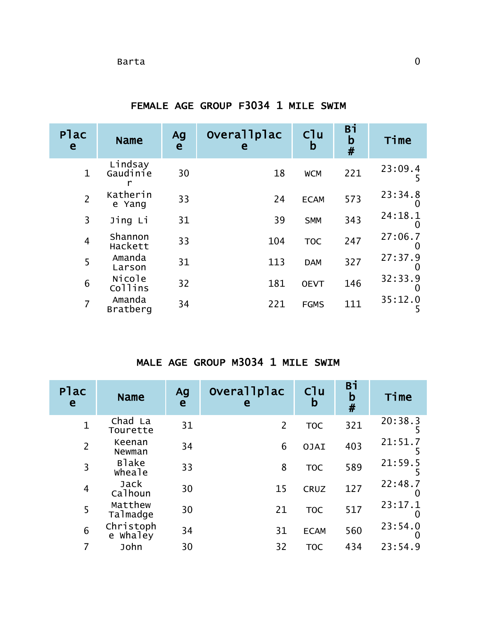| Plac<br>e      | <b>Name</b>         | Ag<br>e | Overallplac<br>e | C <sup>1</sup> u<br>b | Bi<br>$\mathbf b$<br># | Time                         |
|----------------|---------------------|---------|------------------|-----------------------|------------------------|------------------------------|
| $\mathbf{1}$   | Lindsay<br>Gaudinie | 30      | 18               | <b>WCM</b>            | 221                    | 23:09.4<br>5                 |
| $\overline{2}$ | Katherin<br>e Yang  | 33      | 24               | <b>ECAM</b>           | 573                    | 23:34.8<br>$\mathbf{\Omega}$ |
| $\overline{3}$ | Jing Li             | 31      | 39               | <b>SMM</b>            | 343                    | 24:18.1<br>$\mathbf{0}$      |
| $\overline{4}$ | Shannon<br>Hackett  | 33      | 104              | <b>TOC</b>            | 247                    | 27:06.7                      |
| 5              | Amanda<br>Larson    | 31      | 113              | <b>DAM</b>            | 327                    | 27:37.9<br>$\mathbf{\Omega}$ |
| 6              | Nicole<br>Collins   | 32      | 181              | <b>OEVT</b>           | 146                    | 32:33.9<br>$\mathbf{U}$      |
| $\overline{7}$ | Amanda<br>Bratberg  | 34      | 221              | <b>FGMS</b>           | 111                    | 35:12.0<br>5                 |

FEMALE AGE GROUP F3034 1 MILE SWIM

#### MALE AGE GROUP M3034 1 MILE SWIM

| Plac<br>e      | <b>Name</b>              | Ag<br>e | Overallplac<br>e | C1u<br>b    | Bi<br>$\mathbf b$<br># | Time                    |
|----------------|--------------------------|---------|------------------|-------------|------------------------|-------------------------|
| $\mathbf 1$    | Chad La<br>Tourette      | 31      | $\overline{2}$   | <b>TOC</b>  | 321                    | 20:38.3                 |
| $\overline{2}$ | Keenan<br>Newman         | 34      | 6                | <b>OJAI</b> | 403                    | 21:51.7                 |
| 3              | <b>B</b> lake<br>wheale  | 33      | 8                | <b>TOC</b>  | 589                    | 21:59.5                 |
| $\overline{4}$ | Jack<br>Calhoun          | 30      | 15               | <b>CRUZ</b> | 127                    | 22:48.7<br>O            |
| 5              | Matthew<br>Talmadge      | 30      | 21               | <b>TOC</b>  | 517                    | 23:17.1<br>$\mathbf{0}$ |
| 6              | Christoph<br>whaley<br>e | 34      | 31               | <b>ECAM</b> | 560                    | 23:54.0<br>O            |
|                | John                     | 30      | 32               | <b>TOC</b>  | 434                    | 23:54.9                 |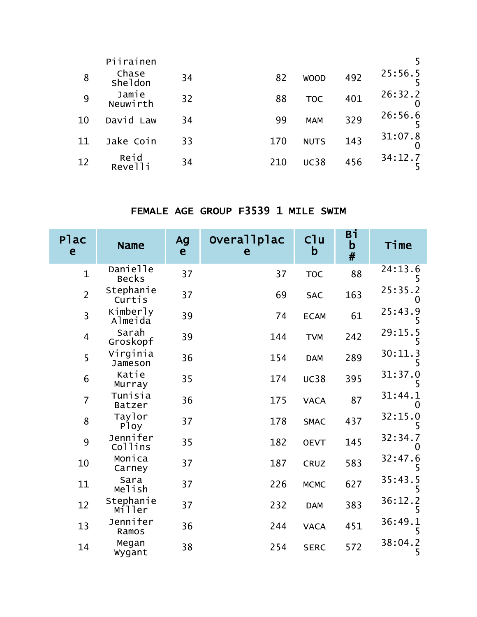|     | Piirainen               |    |     |             |     |         |
|-----|-------------------------|----|-----|-------------|-----|---------|
| 8   | Chase<br><b>Sheldon</b> | 34 | 82  | <b>WOOD</b> | 492 | 25:56.5 |
| 9   | Jamie<br>Neuwirth       | 32 | 88  | <b>TOC</b>  | 401 | 26:32.2 |
| 10  | David Law               | 34 | 99  | <b>MAM</b>  | 329 | 26:56.6 |
| -11 | Jake Coin               | 33 | 170 | <b>NUTS</b> | 143 | 31:07.8 |
| 12  | Reid<br>Revelli         | 34 | 210 | <b>UC38</b> | 456 | 34:12.7 |

## FEMALE AGE GROUP F3539 1 MILE SWIM

| Plac<br>e      | <b>Name</b>                 | Ag<br>$\mathbf{e}$ | Overallplac<br>e | C1u<br>$\mathbf b$ | Bi<br>b<br># | Time                         |
|----------------|-----------------------------|--------------------|------------------|--------------------|--------------|------------------------------|
| $\mathbf{1}$   | Danielle<br><b>Becks</b>    | 37                 | 37               | <b>TOC</b>         | 88           | 24:13.6                      |
| $\overline{2}$ | Stephanie<br>Curtis         | 37                 | 69               | <b>SAC</b>         | 163          | 25:35.2                      |
| 3              | Kimberly<br>Almeida         | 39                 | 74               | <b>ECAM</b>        | 61           | 25:43.9                      |
| 4              | Sarah<br>Groskopf           | 39                 | 144              | <b>TVM</b>         | 242          | 29:15.5<br>5                 |
| 5              | Virginia<br>Jameson         | 36                 | 154              | <b>DAM</b>         | 289          | 30:11.3<br>5                 |
| 6              | Katie<br>Murray             | 35                 | 174              | <b>UC38</b>        | 395          | 31:37.0                      |
| $\overline{7}$ | Tunisia<br><b>Batzer</b>    | 36                 | 175              | <b>VACA</b>        | 87           | 31:44.1<br>$\mathbf{\Omega}$ |
| 8              | Taylor<br>P <sub>l</sub> oy | 37                 | 178              | <b>SMAC</b>        | 437          | 32:15.0<br>5                 |
| 9              | Jennifer<br>Collins         | 35                 | 182              | <b>OEVT</b>        | 145          | 32:34.7<br>0                 |
| 10             | Monica<br>Carney            | 37                 | 187              | <b>CRUZ</b>        | 583          | 32:47.6                      |
| 11             | Sara<br>Melish              | 37                 | 226              | <b>MCMC</b>        | 627          | 35:43.5                      |
| 12             | Stephanie<br>Miller         | 37                 | 232              | <b>DAM</b>         | 383          | 36:12.2<br>5                 |
| 13             | Jennifer<br>Ramos           | 36                 | 244              | <b>VACA</b>        | 451          | 36:49.1<br>5                 |
| 14             | Megan<br>Wygant             | 38                 | 254              | <b>SERC</b>        | 572          | 38:04.2<br>5                 |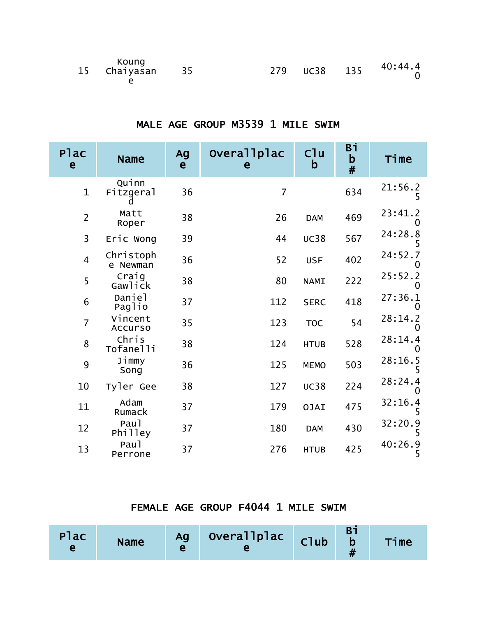| Koung<br>15 Chaiyasan 35 |  |  | 40:44.4<br>0 |
|--------------------------|--|--|--------------|
|                          |  |  |              |

#### MALE AGE GROUP M3539 1 MILE SWIM

| Plac<br>e      | <b>Name</b>               | Ag<br>e | Overallplac<br>e | C1u<br>b    | Вi<br>$\mathbf b$<br># | Time                         |
|----------------|---------------------------|---------|------------------|-------------|------------------------|------------------------------|
| $\mathbf{1}$   | Quinn<br>Fitzgeral        | 36      | $\overline{7}$   |             | 634                    | 21:56.2                      |
| $\overline{2}$ | Matt<br>Roper             | 38      | 26               | <b>DAM</b>  | 469                    | 23:41.2<br>0                 |
| 3              | Eric Wong                 | 39      | 44               | <b>UC38</b> | 567                    | 24:28.8                      |
| $\overline{4}$ | Christoph<br>e Newman     | 36      | 52               | <b>USF</b>  | 402                    | 24:52.7<br>$\mathbf{U}$      |
| 5              | Craig<br>Gawlick          | 38      | 80               | <b>NAMI</b> | 222                    | 25:52.2<br>0                 |
| $6\phantom{1}$ | Daniel<br>Paglio          | 37      | 112              | <b>SERC</b> | 418                    | 27:36.1<br>$\mathbf{\Omega}$ |
| $\overline{7}$ | Vincent<br><b>Accurso</b> | 35      | 123              | <b>TOC</b>  | 54                     | 28:14.2                      |
| 8              | Chris<br>Tofanelli        | 38      | 124              | <b>HTUB</b> | 528                    | 28:14.4                      |
| 9              | Jimmy<br>Song             | 36      | 125              | <b>MEMO</b> | 503                    | 28:16.5<br>5                 |
| 10             | Tyler Gee                 | 38      | 127              | <b>UC38</b> | 224                    | 28:24.4                      |
| 11             | Adam<br>Rumack            | 37      | 179              | <b>OJAI</b> | 475                    | 32:16.4<br>5                 |
| 12             | Pau1<br>Philley           | 37      | 180              | <b>DAM</b>  | 430                    | 32:20.9                      |
| 13             | Pau1<br>Perrone           | 37      | 276              | <b>HTUB</b> | 425                    | 40:26.9<br>5                 |

#### FEMALE AGE GROUP F4044 1 MILE SWIM

| Plac | <b>Name</b> |  | Ag Overallplac club |  |  | Time |
|------|-------------|--|---------------------|--|--|------|
|------|-------------|--|---------------------|--|--|------|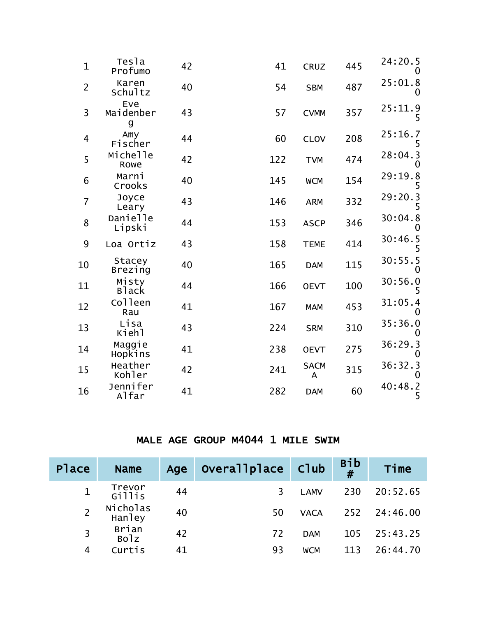| $\mathbf{1}$   | Tesla<br>Profumo         | 42 | 41  | <b>CRUZ</b>      | 445 | 24:20.5      |
|----------------|--------------------------|----|-----|------------------|-----|--------------|
| $\overline{2}$ | Karen<br>Schultz         | 40 | 54  | <b>SBM</b>       | 487 | 25:01.8<br>0 |
| $\overline{3}$ | Eve<br>Maidenber<br>g    | 43 | 57  | <b>CVMM</b>      | 357 | 25:11.9<br>5 |
| $\overline{4}$ | Amy<br>Fischer           | 44 | 60  | <b>CLOV</b>      | 208 | 25:16.7<br>5 |
| 5              | Michelle<br>Rowe         | 42 | 122 | <b>TVM</b>       | 474 | 28:04.3      |
| 6              | Marni<br>Crooks          | 40 | 145 | <b>WCM</b>       | 154 | 29:19.8<br>5 |
| $\overline{7}$ | Joyce<br>Leary           | 43 | 146 | <b>ARM</b>       | 332 | 29:20.3<br>5 |
| 8              | Danielle<br>Lipski       | 44 | 153 | <b>ASCP</b>      | 346 | 30:04.8      |
| 9              | Loa Ortiz                | 43 | 158 | <b>TEME</b>      | 414 | 30:46.5<br>5 |
| 10             | Stacey<br><b>Brezing</b> | 40 | 165 | <b>DAM</b>       | 115 | 30:55.5<br>O |
| 11             | Misty<br><b>Black</b>    | 44 | 166 | <b>OEVT</b>      | 100 | 30:56.0<br>5 |
| 12             | Colleen<br>Rau           | 41 | 167 | <b>MAM</b>       | 453 | 31:05.4      |
| 13             | Lisa<br>Kiehl            | 43 | 224 | <b>SRM</b>       | 310 | 35:36.0<br>0 |
| 14             | Maggie<br>Hopkins        | 41 | 238 | <b>OEVT</b>      | 275 | 36:29.3      |
| 15             | Heather<br>Kohler        | 42 | 241 | <b>SACM</b><br>A | 315 | 36:32.3<br>0 |
| 16             | Jennifer<br>Alfar        | 41 | 282 | <b>DAM</b>       | 60  | 40:48.2<br>5 |
|                |                          |    |     |                  |     |              |

#### MALE AGE GROUP M4044 1 MILE SWIM

| Place        | <b>Name</b>        | Age | Overallplace Club |             | $Bib$<br># | Time         |
|--------------|--------------------|-----|-------------------|-------------|------------|--------------|
| $\mathbf{1}$ | Trevor<br>Gillis   | 44  | 3                 | <b>LAMV</b> | 230        | 20:52.65     |
|              | Nicholas<br>Hanley | 40  | 50                | <b>VACA</b> |            | 252 24:46.00 |
| 3            | Brian<br>Bolz      | 42  | 72                | <b>DAM</b>  | 105        | 25:43.25     |
| 4            | Curtis             |     | 93                | <b>WCM</b>  | 113        | 26:44.70     |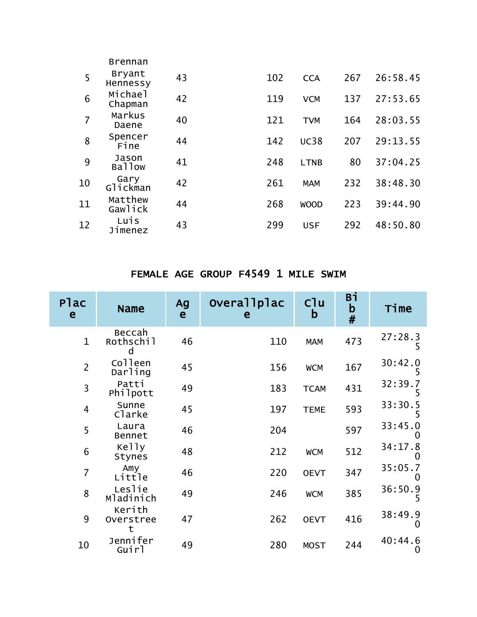|                | <b>Brennan</b>         |    |     |             |     |          |
|----------------|------------------------|----|-----|-------------|-----|----------|
| 5              | Bryant<br>Hennessy     | 43 | 102 | <b>CCA</b>  | 267 | 26:58.45 |
| 6              | Michael<br>Chapman     | 42 | 119 | <b>VCM</b>  | 137 | 27:53.65 |
| $\overline{7}$ | Markus<br>Daene        | 40 | 121 | <b>TVM</b>  | 164 | 28:03.55 |
| 8              | Spencer<br>Fine        | 44 | 142 | <b>UC38</b> | 207 | 29:13.55 |
| 9              | Jason<br><b>Ballow</b> | 41 | 248 | <b>LTNB</b> | 80  | 37:04.25 |
| 10             | Gary<br>Glickman       | 42 | 261 | <b>MAM</b>  | 232 | 38:48.30 |
| 11             | Matthew<br>Gawlick     | 44 | 268 | <b>WOOD</b> | 223 | 39:44.90 |
| 12             | Luis<br>Jimenez        | 43 | 299 | <b>USF</b>  | 292 | 48:50.80 |

## FEMALE AGE GROUP F4549 1 MILE SWIM

| Plac<br>e      | <b>Name</b>         | Ag<br>e | Overallplac<br>e | C1u<br>b    | Вi<br>$\mathbf b$<br># | Time                |
|----------------|---------------------|---------|------------------|-------------|------------------------|---------------------|
| $\mathbf{1}$   | Beccah<br>Rothschil | 46      | 110              | <b>MAM</b>  | 473                    | 27:28.3<br>5        |
| $\overline{2}$ | Colleen<br>Darling  | 45      | 156              | <b>WCM</b>  | 167                    | 30:42.0             |
| $\overline{3}$ | Patti<br>Philpott   | 49      | 183              | <b>TCAM</b> | 431                    | 32:39.7             |
| $\overline{4}$ | Sunne<br>Clarke     | 45      | 197              | <b>TEME</b> | 593                    | 33:30.5             |
| 5              | Laura<br>Bennet     | 46      | 204              |             | 597                    | 33:45.0             |
| 6              | Kelly<br>Stynes     | 48      | 212              | <b>WCM</b>  | 512                    | 34:17.8             |
| $\overline{7}$ | Amy<br>Little       | 46      | 220              | <b>OEVT</b> | 347                    | 35:05.7<br>O        |
| 8              | Leslie<br>Mladinich | 49      | 246              | <b>WCM</b>  | 385                    | 36:50.9<br>5        |
| 9              | Kerith<br>Overstree | 47      | 262              | <b>OEVT</b> | 416                    | 38:49.9<br>$\Omega$ |
| 10             | Jennifer<br>Guirl   | 49      | 280              | <b>MOST</b> | 244                    | 40:44.6<br>O        |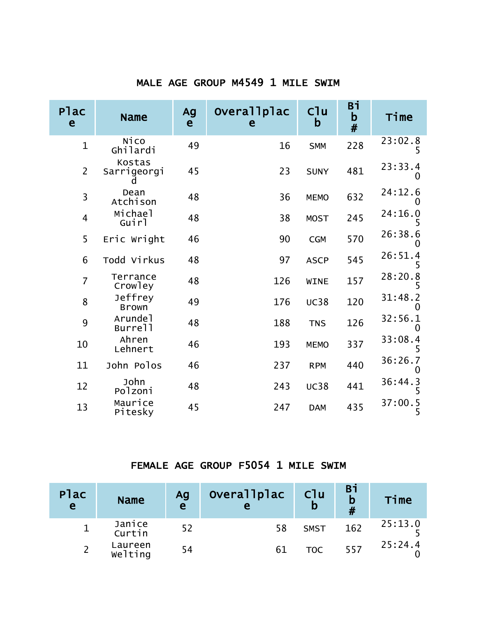#### MALE AGE GROUP M4549 1 MILE SWIM

| Plac<br>e      | <b>Name</b>                    | Ag<br>e | Overallplac<br>e | C <sup>1</sup> u<br>$\mathbf b$ | Вi<br>b<br># | Time                    |
|----------------|--------------------------------|---------|------------------|---------------------------------|--------------|-------------------------|
| $\mathbf{1}$   | Ni CO<br>Ghilardi              | 49      | 16               | <b>SMM</b>                      | 228          | 23:02.8                 |
| $\overline{2}$ | Kostas<br>Sarrigeorgi          | 45      | 23               | <b>SUNY</b>                     | 481          | 23:33.4<br>0            |
| 3              | Dean<br>Atchison               | 48      | 36               | <b>MEMO</b>                     | 632          | 24:12.6<br>O            |
| $\overline{4}$ | Michael<br>Guirl               | 48      | 38               | <b>MOST</b>                     | 245          | 24:16.0                 |
| 5              | Eric Wright                    | 46      | 90               | <b>CGM</b>                      | 570          | 26:38.6                 |
| 6              | Todd Virkus                    | 48      | 97               | <b>ASCP</b>                     | 545          | 26:51.4                 |
| $\overline{7}$ | Terrance<br>Crowley            | 48      | 126              | <b>WINE</b>                     | 157          | 28:20.8<br>5            |
| 8              | Jeffrey<br><b>Brown</b>        | 49      | 176              | <b>UC38</b>                     | 120          | 31:48.2<br>$\mathbf{0}$ |
| 9              | Arunde <sub>1</sub><br>Burrell | 48      | 188              | <b>TNS</b>                      | 126          | 32:56.1<br>0            |
| 10             | Ahren<br>Lehnert               | 46      | 193              | <b>MEMO</b>                     | 337          | 33:08.4                 |
| 11             | John Polos                     | 46      | 237              | <b>RPM</b>                      | 440          | 36:26.7<br>0            |
| 12             | John<br>Polzoni                | 48      | 243              | <b>UC38</b>                     | 441          | 36:44.3<br>5            |
| 13             | Maurice<br>Pitesky             | 45      | 247              | <b>DAM</b>                      | 435          | 37:00.5<br>5            |

#### FEMALE AGE GROUP F5054 1 MILE SWIM

| Plac<br>e | <b>Name</b>        | Ag<br>$\mathbf e$ | <b>Overallplac</b><br>e | C <sub>1</sub> u<br>$\mathbf b$ | Bi<br>$\mathbf b$ | Time    |
|-----------|--------------------|-------------------|-------------------------|---------------------------------|-------------------|---------|
|           | Janice<br>Curtin   | 52                | 58                      | <b>SMST</b>                     | 162               | 25:13.0 |
|           | Laureen<br>Welting | 54                | 61                      | <b>TOC</b>                      | 557               | 25:24.4 |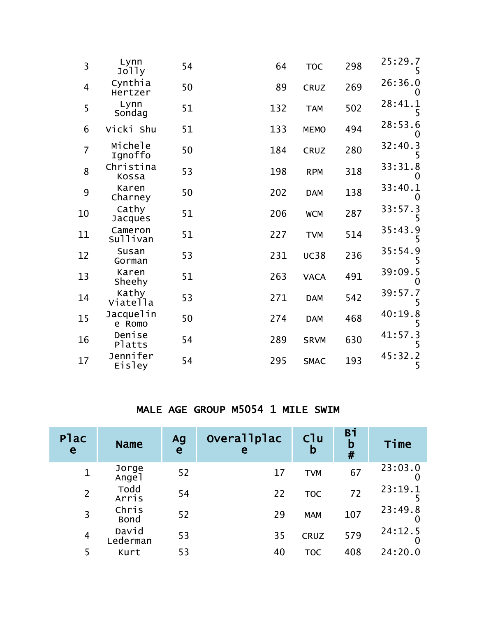| $\overline{3}$ | Lynn<br>Jolly           | 54 | 64  | <b>TOC</b>  | 298 | 25:29.7      |
|----------------|-------------------------|----|-----|-------------|-----|--------------|
| $\overline{4}$ | Cynthia<br>Hertzer      | 50 | 89  | <b>CRUZ</b> | 269 | 26:36.0      |
| 5              | Lynn<br>Sondag          | 51 | 132 | <b>TAM</b>  | 502 | 28:41.1      |
| 6              | Vicki Shu               | 51 | 133 | <b>MEMO</b> | 494 | 28:53.6      |
| $\overline{7}$ | Michele<br>Ignoffo      | 50 | 184 | <b>CRUZ</b> | 280 | 32:40.3      |
| 8              | Christina<br>Kossa      | 53 | 198 | <b>RPM</b>  | 318 | 33:31.8      |
| 9              | Karen<br>Charney        | 50 | 202 | <b>DAM</b>  | 138 | 33:40.1      |
| 10             | Cathy<br><b>Jacques</b> | 51 | 206 | <b>WCM</b>  | 287 | 33:57.3<br>5 |
| 11             | Cameron<br>Sullivan     | 51 | 227 | <b>TVM</b>  | 514 | 35:43.9      |
| 12             | Susan<br>Gorman         | 53 | 231 | <b>UC38</b> | 236 | 35:54.9      |
| 13             | Karen<br>Sheehy         | 51 | 263 | <b>VACA</b> | 491 | 39:09.5      |
| 14             | Kathy<br>Viatella       | 53 | 271 | <b>DAM</b>  | 542 | 39:57.7<br>5 |
| 15             | Jacquelin<br>e Romo     | 50 | 274 | <b>DAM</b>  | 468 | 40:19.8<br>5 |
| 16             | Denise<br>Platts        | 54 | 289 | <b>SRVM</b> | 630 | 41:57.3<br>5 |
| 17             | Jennifer<br>Eisley      | 54 | 295 | <b>SMAC</b> | 193 | 45:32.2<br>5 |

#### MALE AGE GROUP M5054 1 MILE SWIM

| Plac<br>e      | <b>Name</b>                | Ag<br>e | Overallplac<br>e | C <sup>1</sup> u<br>b | <b>Bi</b><br>b<br># | Time    |
|----------------|----------------------------|---------|------------------|-----------------------|---------------------|---------|
| $\mathbf 1$    | Jorge<br>Ange <sub>1</sub> | 52      | 17               | <b>TVM</b>            | 67                  | 23:03.0 |
| $\overline{2}$ | Todd<br>Arris              | 54      | 22               | <b>TOC</b>            | 72                  | 23:19.1 |
| 3              | Chris<br><b>Bond</b>       | 52      | 29               | <b>MAM</b>            | 107                 | 23:49.8 |
| $\overline{4}$ | David<br>Lederman          | 53      | 35               | <b>CRUZ</b>           | 579                 | 24:12.5 |
|                | Kurt                       | 53      | 40               | <b>TOC</b>            | 408                 | 24:20.0 |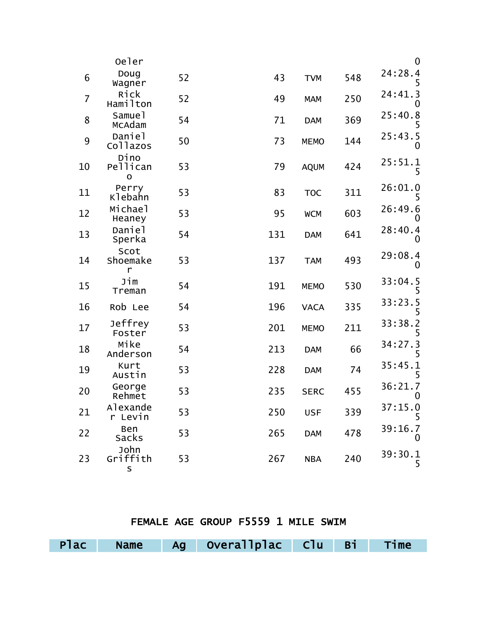|                | Oeler                           |    |     |             |     | $\mathbf 0$  |
|----------------|---------------------------------|----|-----|-------------|-----|--------------|
| 6              | Doug<br>Wagner                  | 52 | 43  | <b>TVM</b>  | 548 | 24:28.4<br>5 |
| $\overline{7}$ | Rick<br>Hamilton                | 52 | 49  | <b>MAM</b>  | 250 | 24:41.3<br>0 |
| 8              | Samuel<br>McAdam                | 54 | 71  | <b>DAM</b>  | 369 | 25:40.8<br>5 |
| 9              | Daniel<br>Collazos              | 50 | 73  | <b>MEMO</b> | 144 | 25:43.5<br>O |
| 10             | Dino<br>Pellican<br>$\mathbf O$ | 53 | 79  | <b>AQUM</b> | 424 | 25:51.1<br>5 |
| 11             | Perry<br>Klebahn                | 53 | 83  | <b>TOC</b>  | 311 | 26:01.0<br>5 |
| 12             | Michael<br>Heaney               | 53 | 95  | <b>WCM</b>  | 603 | 26:49.6<br>0 |
| 13             | Daniel<br>Sperka                | 54 | 131 | <b>DAM</b>  | 641 | 28:40.4<br>O |
| 14             | Scot<br>Shoemake<br>r           | 53 | 137 | <b>TAM</b>  | 493 | 29:08.4<br>0 |
| 15             | Jim<br>Treman                   | 54 | 191 | <b>MEMO</b> | 530 | 33:04.5<br>5 |
| 16             | Rob Lee                         | 54 | 196 | <b>VACA</b> | 335 | 33:23.5<br>5 |
| 17             | Jeffrey<br>Foster               | 53 | 201 | <b>MEMO</b> | 211 | 33:38.2<br>5 |
| 18             | Mike<br>Anderson                | 54 | 213 | <b>DAM</b>  | 66  | 34:27.3<br>5 |
| 19             | Kurt<br>Austin                  | 53 | 228 | <b>DAM</b>  | 74  | 35:45.1<br>5 |
| 20             | George<br>Rehmet                | 53 | 235 | <b>SERC</b> | 455 | 36:21.7<br>0 |
| 21             | Alexande<br>r Levin             | 53 | 250 | <b>USF</b>  | 339 | 37:15.0<br>5 |
| 22             | Ben<br>Sacks                    | 53 | 265 | <b>DAM</b>  | 478 | 39:16.7<br>0 |
| 23             | John<br>Griffith<br>S           | 53 | 267 | <b>NBA</b>  | 240 | 39:30.1<br>5 |

#### FEMALE AGE GROUP F5559 1 MILE SWIM

|  | Plac Name Ag Overallplac Clu Bi Time |  |  |
|--|--------------------------------------|--|--|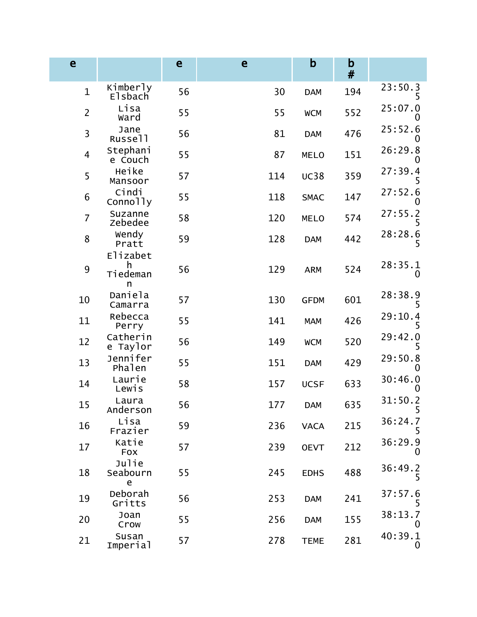| e                |                                | e  | e   | b           | $\mathbf b$<br># |              |
|------------------|--------------------------------|----|-----|-------------|------------------|--------------|
| $\mathbf{1}$     | Kimberly<br>Elsbach            | 56 | 30  | <b>DAM</b>  | 194              | 23:50.3<br>5 |
| $\overline{2}$   | Lisa<br>Ward                   | 55 | 55  | <b>WCM</b>  | 552              | 25:07.0      |
| $\overline{3}$   | Jane<br>Russell                | 56 | 81  | <b>DAM</b>  | 476              | 25:52.6      |
| $\overline{4}$   | Stephani<br>e Couch            | 55 | 87  | <b>MELO</b> | 151              | 26:29.8      |
| 5                | Heike<br>Mansoor               | 57 | 114 | <b>UC38</b> | 359              | 27:39.4<br>5 |
| $\boldsymbol{6}$ | Cindi<br>Connolly              | 55 | 118 | <b>SMAC</b> | 147              | 27:52.6      |
| $\overline{7}$   | Suzanne<br>Zebedee             | 58 | 120 | <b>MELO</b> | 574              | 27:55.2<br>5 |
| 8                | Wendy<br>Pratt                 | 59 | 128 | <b>DAM</b>  | 442              | 28:28.6<br>5 |
| 9                | Elizabet<br>h<br>Tiedeman<br>n | 56 | 129 | <b>ARM</b>  | 524              | 28:35.1<br>O |
| 10               | Daniela<br>Camarra             | 57 | 130 | <b>GFDM</b> | 601              | 28:38.9<br>5 |
| 11               | Rebecca<br>Perry               | 55 | 141 | <b>MAM</b>  | 426              | 29:10.4<br>5 |
| 12               | Catherin<br>e Taylor           | 56 | 149 | <b>WCM</b>  | 520              | 29:42.0      |
| 13               | Jennifer<br>Phalen             | 55 | 151 | <b>DAM</b>  | 429              | 29:50.8      |
| 14               | Laurie<br>Lewis                | 58 | 157 | <b>UCSF</b> | 633              | 30:46.0      |
| 15               | Laura<br>Anderson              | 56 | 177 | <b>DAM</b>  | 635              | 31:50.2<br>5 |
| 16               | Lisa<br>Frazier                | 59 | 236 | <b>VACA</b> | 215              | 36:24.7      |
| 17               | Katie<br><b>Fox</b>            | 57 | 239 | <b>OEVT</b> | 212              | 36:29.9<br>Ő |
| 18               | Julie<br>Seabourn<br>e         | 55 | 245 | <b>EDHS</b> | 488              | 36:49.2<br>5 |
| 19               | Deborah<br>Gritts              | 56 | 253 | <b>DAM</b>  | 241              | 37:57.6<br>5 |
| 20               | Joan<br>Crow                   | 55 | 256 | <b>DAM</b>  | 155              | 38:13.7      |
| 21               | Susan<br>Imperial              | 57 | 278 | <b>TEME</b> | 281              | 40:39.1<br>0 |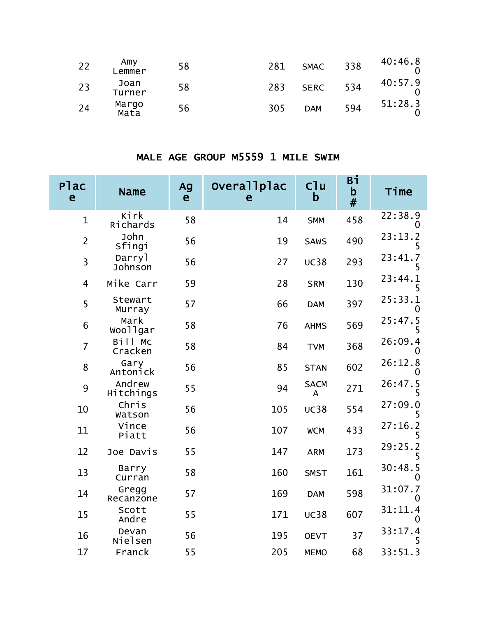| 22 | Amy<br>Lemmer  | 58 | 281 | <b>SMAC</b> | 338 | 40:46.8 |
|----|----------------|----|-----|-------------|-----|---------|
| 23 | Joan<br>Turner | 58 | 283 | <b>SERC</b> | 534 | 40:57.9 |
| 24 | Margo<br>Mata  | 56 | 305 | <b>DAM</b>  | 594 | 51:28.3 |

#### MALE AGE GROUP M5559 1 MILE SWIM

| <b>Plac</b><br>e        | <b>Name</b>         | Ag<br>e | Overallplac<br>e | C1u<br>b         | Вi<br>b<br># | Time                |
|-------------------------|---------------------|---------|------------------|------------------|--------------|---------------------|
| $\mathbf{1}$            | Kirk<br>Richards    | 58      | 14               | <b>SMM</b>       | 458          | 22:38.9<br>0        |
| $\overline{2}$          | John<br>Sfingi      | 56      | 19               | <b>SAWS</b>      | 490          | 23:13.2<br>5        |
| $\overline{\mathbf{3}}$ | Darryl<br>Johnson   | 56      | 27               | <b>UC38</b>      | 293          | 23:41.7<br>5        |
| $\overline{4}$          | Mike Carr           | 59      | 28               | <b>SRM</b>       | 130          | 23:44.1<br>5        |
| 5                       | Stewart<br>Murray   | 57      | 66               | <b>DAM</b>       | 397          | 25:33.1<br>O        |
| $6\,$                   | Mark<br>woollgar    | 58      | 76               | <b>AHMS</b>      | 569          | 25:47.5<br>5        |
| $\overline{7}$          | Bill Mc<br>Cracken  | 58      | 84               | <b>TVM</b>       | 368          | 26:09.4             |
| $\bf 8$                 | Gary<br>Antonick    | 56      | 85               | <b>STAN</b>      | 602          | 26:12.8<br>O        |
| 9                       | Andrew<br>Hitchings | 55      | 94               | <b>SACM</b><br>A | 271          | 26:47.5<br>5        |
| 10                      | Chris<br>Watson     | 56      | 105              | <b>UC38</b>      | 554          | 27:09.0             |
| 11                      | Vince<br>Piatt      | 56      | 107              | <b>WCM</b>       | 433          | 27:16.2<br>5        |
| 12                      | Joe Davis           | 55      | 147              | <b>ARM</b>       | 173          | 29:25.2<br>5        |
| 13                      | Barry<br>Curran     | 58      | 160              | <b>SMST</b>      | 161          | 30:48.5<br>$\Omega$ |
| 14                      | Gregg<br>Recanzone  | 57      | 169              | <b>DAM</b>       | 598          | 31:07.7<br>$\Omega$ |
| 15                      | Scott<br>Andre      | 55      | 171              | <b>UC38</b>      | 607          | 31:11.4<br>0        |
| 16                      | Devan<br>Nielsen    | 56      | 195              | <b>OEVT</b>      | 37           | 33:17.4<br>5        |
| 17                      | Franck              | 55      | 205              | <b>MEMO</b>      | 68           | 33:51.3             |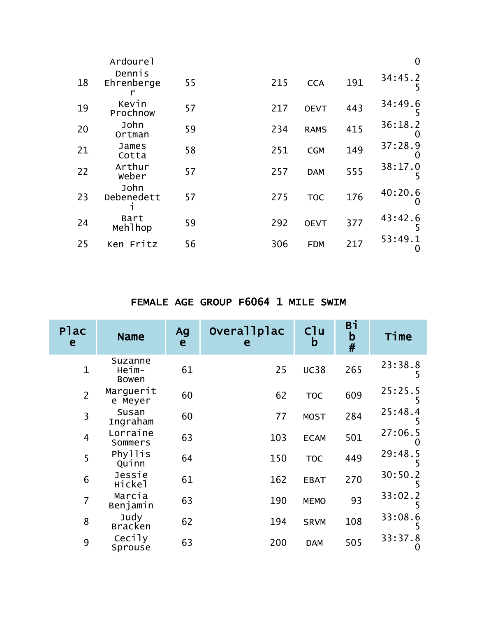| Ardourel           |        |     |             |     | $\mathbf 0$         |
|--------------------|--------|-----|-------------|-----|---------------------|
| Ehrenberge<br>r    | 55     | 215 | <b>CCA</b>  | 191 | 34:45.2<br>5        |
| Kevin<br>Prochnow  | 57     | 217 | <b>OEVT</b> | 443 | 34:49.6<br>5        |
| John<br>Ortman     | 59     | 234 | <b>RAMS</b> | 415 | 36:18.2<br>$\Omega$ |
| James<br>Cotta     | 58     | 251 | <b>CGM</b>  | 149 | 37:28.9<br>0        |
| Arthur<br>Weber    | 57     | 257 | <b>DAM</b>  | 555 | 38:17.0<br>5        |
| John<br>Debenedett | 57     | 275 | <b>TOC</b>  | 176 | 40:20.6<br>O        |
| Bart<br>Mehlhop    | 59     | 292 | <b>OEVT</b> | 377 | 43:42.6<br>5        |
| Ken Fritz          | 56     | 306 | <b>FDM</b>  | 217 | 53:49.1<br>0        |
|                    | Dennis |     |             |     |                     |

## FEMALE AGE GROUP F6064 1 MILE SWIM

| Plac<br>e      | <b>Name</b>               | Ag<br>e | Overallplac<br>e | $C$ lu<br>b | Bi<br>$\mathbf b$<br># | Time         |
|----------------|---------------------------|---------|------------------|-------------|------------------------|--------------|
| $\mathbf{1}$   | Suzanne<br>Heim-<br>Bowen | 61      | 25               | <b>UC38</b> | 265                    | 23:38.8<br>5 |
| $\overline{2}$ | Marguerit<br>e Meyer      | 60      | 62               | <b>TOC</b>  | 609                    | 25:25.5<br>5 |
| 3              | Susan<br>Ingraham         | 60      | 77               | <b>MOST</b> | 284                    | 25:48.4      |
| $\overline{4}$ | Lorraine<br>Sommers       | 63      | 103              | <b>ECAM</b> | 501                    | 27:06.5<br>O |
| 5              | Phyllis<br>Quinn          | 64      | 150              | <b>TOC</b>  | 449                    | 29:48.5<br>5 |
| 6              | Jessie<br>Hickel          | 61      | 162              | <b>EBAT</b> | 270                    | 30:50.2      |
| $\overline{7}$ | Marcia<br>Benjamin        | 63      | 190              | <b>MEMO</b> | 93                     | 33:02.2<br>5 |
| 8              | Judy<br><b>Bracken</b>    | 62      | 194              | <b>SRVM</b> | 108                    | 33:08.6      |
| 9              | Cecily<br>Sprouse         | 63      | 200              | <b>DAM</b>  | 505                    | 33:37.8<br>O |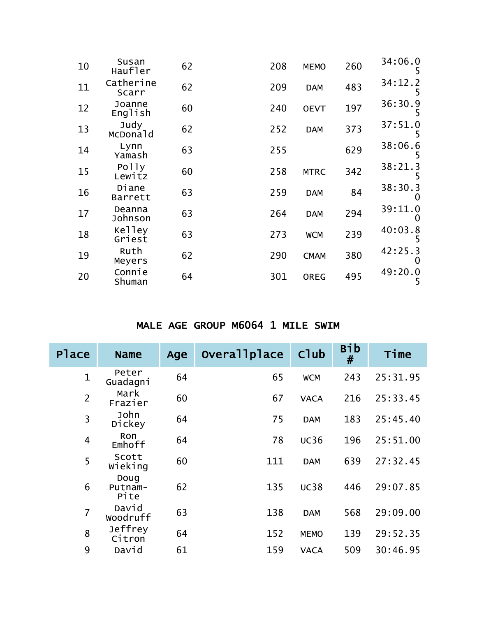| 10 | Susan<br>Haufler   | 62 | 208 | <b>MEMO</b> | 260 | 34:06.0<br>5        |
|----|--------------------|----|-----|-------------|-----|---------------------|
| 11 | Catherine<br>Scarr | 62 | 209 | <b>DAM</b>  | 483 | 34:12.2             |
| 12 | Joanne<br>English  | 60 | 240 | <b>OEVT</b> | 197 | 36:30.9<br>5        |
| 13 | Judy<br>McDonald   | 62 | 252 | <b>DAM</b>  | 373 | 37:51.0             |
| 14 | Lynn<br>Yamash     | 63 | 255 |             | 629 | 38:06.6<br>5        |
| 15 | Polly<br>Lewitz    | 60 | 258 | <b>MTRC</b> | 342 | 38:21.3             |
| 16 | Diane<br>Barrett   | 63 | 259 | <b>DAM</b>  | 84  | 38:30.3<br>0        |
| 17 | Deanna<br>Johnson  | 63 | 264 | <b>DAM</b>  | 294 | 39:11.0<br>$\Omega$ |
| 18 | Kelley<br>Griest   | 63 | 273 | <b>WCM</b>  | 239 | 40:03.8<br>5        |
| 19 | Ruth<br>Meyers     | 62 | 290 | <b>CMAM</b> | 380 | 42:25.3<br>$\Omega$ |
| 20 | Connie<br>Shuman   | 64 | 301 | <b>OREG</b> | 495 | 49:20.0<br>5        |

## MALE AGE GROUP M6064 1 MILE SWIM

| Place          | <b>Name</b>             | Age | Overallplace | Club        | <b>Bib</b><br># | Time     |
|----------------|-------------------------|-----|--------------|-------------|-----------------|----------|
| $\mathbf{1}$   | Peter<br>Guadagni       | 64  | 65           | <b>WCM</b>  | 243             | 25:31.95 |
| $\overline{2}$ | Mark<br>Frazier         | 60  | 67           | <b>VACA</b> | 216             | 25:33.45 |
| 3              | John<br>Dickey          | 64  | 75           | <b>DAM</b>  | 183             | 25:45.40 |
| 4              | Ron<br>Emhoff           | 64  | 78           | <b>UC36</b> | 196             | 25:51.00 |
| 5              | Scott<br>Wieking        | 60  | 111          | <b>DAM</b>  | 639             | 27:32.45 |
| 6              | Doug<br>Putnam-<br>Pite | 62  | 135          | <b>UC38</b> | 446             | 29:07.85 |
| $\overline{7}$ | David<br>Woodruff       | 63  | 138          | <b>DAM</b>  | 568             | 29:09.00 |
| 8              | Jeffrey<br>Citron       | 64  | 152          | <b>MEMO</b> | 139             | 29:52.35 |
| 9              | David                   | 61  | 159          | <b>VACA</b> | 509             | 30:46.95 |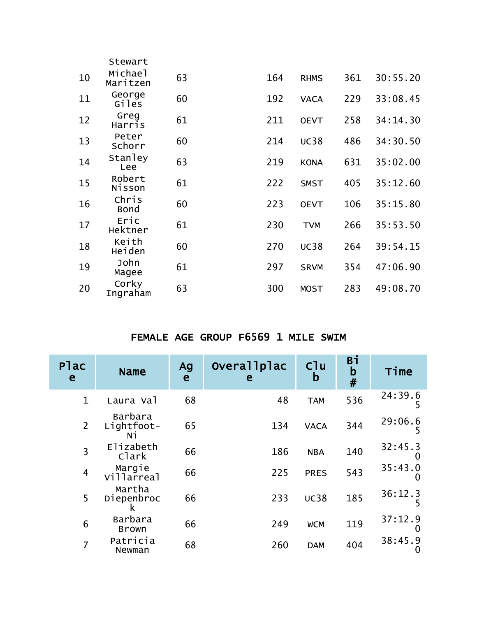|    | Stewart              |    |     |             |     |          |
|----|----------------------|----|-----|-------------|-----|----------|
| 10 | Michael<br>Maritzen  | 63 | 164 | <b>RHMS</b> | 361 | 30:55.20 |
| 11 | George<br>Giles      | 60 | 192 | <b>VACA</b> | 229 | 33:08.45 |
| 12 | Greg<br>Harris       | 61 | 211 | <b>OEVT</b> | 258 | 34:14.30 |
| 13 | Peter<br>Schorr      | 60 | 214 | <b>UC38</b> | 486 | 34:30.50 |
| 14 | Stanley<br>Lee       | 63 | 219 | <b>KONA</b> | 631 | 35:02.00 |
| 15 | Robert<br>Nisson     | 61 | 222 | <b>SMST</b> | 405 | 35:12.60 |
| 16 | Chris<br><b>Bond</b> | 60 | 223 | <b>OEVT</b> | 106 | 35:15.80 |
| 17 | Eric<br>Hektner      | 61 | 230 | <b>TVM</b>  | 266 | 35:53.50 |
| 18 | Keith<br>Heiden      | 60 | 270 | <b>UC38</b> | 264 | 39:54.15 |
| 19 | John<br>Magee        | 61 | 297 | <b>SRVM</b> | 354 | 47:06.90 |
| 20 | Corky<br>Ingraham    | 63 | 300 | <b>MOST</b> | 283 | 49:08.70 |

## FEMALE AGE GROUP F6569 1 MILE SWIM

| Plac<br>e      | <b>Name</b>                 | Ag<br>e | Overallplac<br>е | $C1$ u<br>b | Вi<br>$\mathbf b$<br># | Time         |
|----------------|-----------------------------|---------|------------------|-------------|------------------------|--------------|
| $\mathbf{1}$   | Laura Val                   | 68      | 48               | <b>TAM</b>  | 536                    | 24:39.6      |
| $\overline{2}$ | Barbara<br>Lightfoot-<br>Ni | 65      | 134              | <b>VACA</b> | 344                    | 29:06.6      |
| 3              | Elizabeth<br>Clark          | 66      | 186              | <b>NBA</b>  | 140                    | 32:45.3<br>0 |
| $\overline{4}$ | Margie<br>Villarreal        | 66      | 225              | <b>PRES</b> | 543                    | 35:43.0<br>O |
| 5              | Martha<br>Diepenbroc<br>к   | 66      | 233              | <b>UC38</b> | 185                    | 36:12.3      |
| 6              | Barbara<br><b>Brown</b>     | 66      | 249              | <b>WCM</b>  | 119                    | 37:12.9      |
| $\overline{7}$ | Patricia<br>Newman          | 68      | 260              | <b>DAM</b>  | 404                    | 38:45.9<br>O |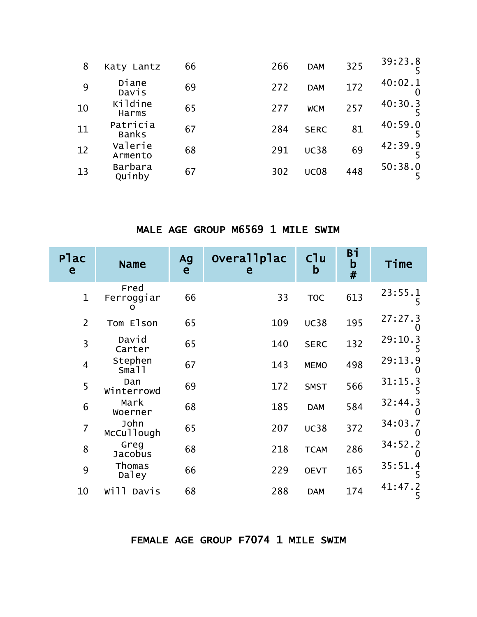| 8  | Katy Lantz               | 66 | 266 | <b>DAM</b>  | 325 | 39:23.8 |
|----|--------------------------|----|-----|-------------|-----|---------|
| 9  | Diane<br>Davis           | 69 | 272 | <b>DAM</b>  | 172 | 40:02.1 |
| 10 | Kildine<br>Harms         | 65 | 277 | <b>WCM</b>  | 257 | 40:30.3 |
| 11 | Patricia<br><b>Banks</b> | 67 | 284 | <b>SERC</b> | 81  | 40:59.0 |
| 12 | Valerie<br>Armento       | 68 | 291 | <b>UC38</b> | 69  | 42:39.9 |
| 13 | Barbara<br>Quinby        | 67 | 302 | <b>UC08</b> | 448 | 50:38.0 |

#### MALE AGE GROUP M6569 1 MILE SWIM

| Plac<br>e      | <b>Name</b>             | Ag<br>e | Overallplac<br>e | C1u<br>b    | Bī<br>b<br># | Time         |
|----------------|-------------------------|---------|------------------|-------------|--------------|--------------|
| $\mathbf{1}$   | Fred<br>Ferroggiar<br>0 | 66      | 33               | <b>TOC</b>  | 613          | 23:55.1<br>5 |
| $\overline{2}$ | Tom Elson               | 65      | 109              | <b>UC38</b> | 195          | 27:27.3      |
| 3              | David<br>Carter         | 65      | 140              | <b>SERC</b> | 132          | 29:10.3      |
| $\overline{4}$ | Stephen<br>Small        | 67      | 143              | <b>MEMO</b> | 498          | 29:13.9      |
| 5              | Dan<br>Winterrowd       | 69      | 172              | <b>SMST</b> | 566          | 31:15.3<br>5 |
| 6              | Mark<br>Woerner         | 68      | 185              | <b>DAM</b>  | 584          | 32:44.3      |
| $\overline{7}$ | John<br>McCullough      | 65      | 207              | <b>UC38</b> | 372          | 34:03.7      |
| 8              | Greg<br>Jacobus         | 68      | 218              | <b>TCAM</b> | 286          | 34:52.2      |
| 9              | Thomas<br>Daley         | 66      | 229              | <b>OEVT</b> | 165          | 35:51.4      |
| 10             | Will Davis              | 68      | 288              | <b>DAM</b>  | 174          | 41:47.2<br>5 |

#### FEMALE AGE GROUP F7074 1 MILE SWIM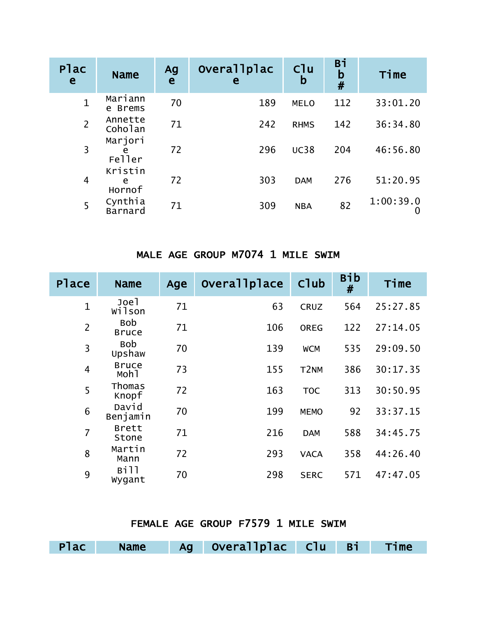| Plac<br>e      | <b>Name</b>            | Ag<br>e | Overallplac<br>e | C <sup>1</sup> u<br>b | Bi<br>b<br># | Time           |
|----------------|------------------------|---------|------------------|-----------------------|--------------|----------------|
| $\mathbf 1$    | Mariann<br>e Brems     | 70      | 189              | <b>MELO</b>           | 112          | 33:01.20       |
| $\overline{2}$ | Annette<br>Coholan     | 71      | 242              | <b>RHMS</b>           | 142          | 36:34.80       |
| 3              | Marjori<br>e<br>Feller | 72      | 296              | <b>UC38</b>           | 204          | 46:56.80       |
| $\overline{4}$ | Kristin<br>e<br>Hornof | 72      | 303              | <b>DAM</b>            | 276          | 51:20.95       |
| 5              | Cynthia<br>Barnard     | 71      | 309              | <b>NBA</b>            | 82           | 1:00:39.0<br>O |

#### MALE AGE GROUP M7074 1 MILE SWIM

| Place          | <b>Name</b>                      | Age | <b>Overallplace</b> | C <sub>1</sub> ub | <b>Bib</b><br># | Time     |
|----------------|----------------------------------|-----|---------------------|-------------------|-----------------|----------|
| $\mathbf{1}$   | Joel<br>wilson                   | 71  | 63                  | <b>CRUZ</b>       | 564             | 25:27.85 |
| $\overline{2}$ | <b>Bob</b><br><b>Bruce</b>       | 71  | 106                 | <b>OREG</b>       | 122             | 27:14.05 |
| 3              | <b>Bob</b><br>Upshaw             | 70  | 139                 | <b>WCM</b>        | 535             | 29:09.50 |
| $\overline{4}$ | <b>Bruce</b><br>Moh <sub>1</sub> | 73  | 155                 | T <sub>2</sub> NM | 386             | 30:17.35 |
| 5              | Thomas<br>Knopf                  | 72  | 163                 | <b>TOC</b>        | 313             | 30:50.95 |
| 6              | David<br>Benjamin                | 70  | 199                 | <b>MEMO</b>       | 92              | 33:37.15 |
| 7              | <b>Brett</b><br>Stone            | 71  | 216                 | <b>DAM</b>        | 588             | 34:45.75 |
| 8              | Martin<br>Mann                   | 72  | 293                 | <b>VACA</b>       | 358             | 44:26.40 |
| 9              | Bill<br>Wygant                   | 70  | 298                 | <b>SERC</b>       | 571             | 47:47.05 |

| FEMALE AGE GROUP F7579 1 MILE SWIM |  |  |  |  |  |
|------------------------------------|--|--|--|--|--|
|------------------------------------|--|--|--|--|--|

| Plac Name | Ag Overallplac Clu Bi Time |  |  |
|-----------|----------------------------|--|--|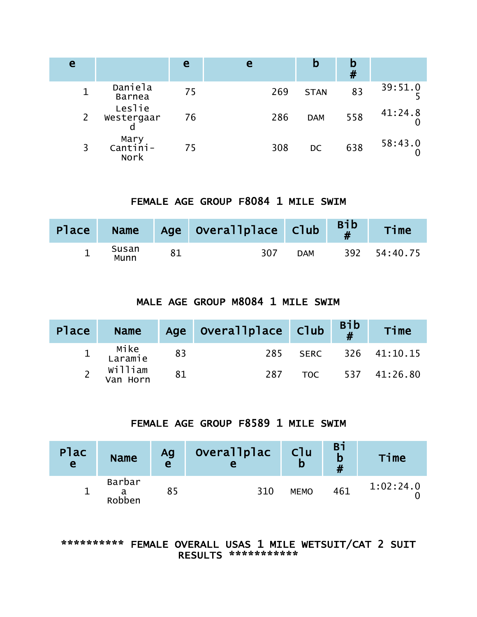| e                     |                          | e  | e   | b           | #   |         |
|-----------------------|--------------------------|----|-----|-------------|-----|---------|
|                       | Daniela<br><b>Barnea</b> | 75 | 269 | <b>STAN</b> | 83  | 39:51.0 |
| $\mathbf{2}^{\prime}$ | Leslie<br>Westergaar     | 76 | 286 | <b>DAM</b>  | 558 | 41:24.8 |
|                       | Mary<br>Cantini-<br>Nork | 75 | 308 | DC          | 638 | 58:43.0 |

## FEMALE AGE GROUP F8084 1 MILE SWIM

| Place |               | Name Age Overallplace Club |            | <b>Bib</b> | Time         |
|-------|---------------|----------------------------|------------|------------|--------------|
|       | Susan<br>Munn | 307                        | <b>DAM</b> |            | 392 54:40.75 |

## MALE AGE GROUP M8084 1 MILE SWIM

| Place | <b>Name</b>         |    | Age Overallplace Club Bib |     | Time              |
|-------|---------------------|----|---------------------------|-----|-------------------|
|       | 1 Mike<br>Laramie   | 83 | 285                       |     | SERC 326 41:10.15 |
|       | William<br>Van Horn | 81 | 287                       | TOC | 537 41:26.80      |

## FEMALE AGE GROUP F8589 1 MILE SWIM

| <b>Plac</b><br>$\mathbf{e}$ | <b>Name</b>      | Ag<br>e | Overallplac<br>e | Cl <sub>u</sub><br>b | Bi<br>b<br># | Time      |
|-----------------------------|------------------|---------|------------------|----------------------|--------------|-----------|
|                             | Barbar<br>Robben |         | 310              | <b>MEMO</b>          | 461          | 1:02:24.0 |

#### \*\*\*\*\*\*\*\*\*\* FEMALE OVERALL USAS 1 MILE WETSUIT/CAT 2 SUIT RESULTS \*\*\*\*\*\*\*\*\*\*\*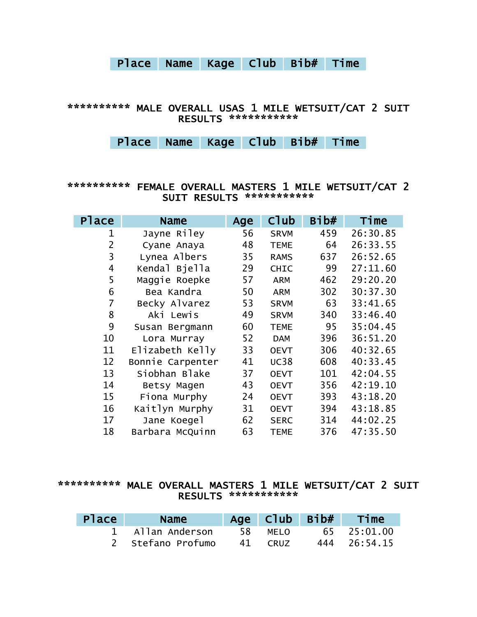# Place Name Kage Club Bib# Time

#### \*\*\*\*\*\*\*\*\*\* MALE OVERALL USAS 1 MILE WETSUIT/CAT 2 SUIT RESULTS \*\*\*\*\*\*\*\*\*\*\*

Place Name Kage Club Bib# Time

#### \*\*\*\*\*\*\*\*\*\* FEMALE OVERALL MASTERS 1 MILE WETSUIT/CAT 2 SUIT RESULTS \*\*\*\*\*\*\*\*\*\*\*

| Place          | Name             | Age | $C$ lub     | Bib# | Time     |
|----------------|------------------|-----|-------------|------|----------|
| 1              | Jayne Riley      | 56  | <b>SRVM</b> | 459  | 26:30.85 |
| $\overline{2}$ | Cyane Anaya      | 48  | <b>TEME</b> | 64   | 26:33.55 |
| 3              | Lynea Albers     | 35  | <b>RAMS</b> | 637  | 26:52.65 |
| 4              | Kendal Bjella    | 29  | <b>CHIC</b> | 99   | 27:11.60 |
| 5              | Maggie Roepke    | 57  | <b>ARM</b>  | 462  | 29:20.20 |
| 6              | Bea Kandra       | 50  | <b>ARM</b>  | 302  | 30:37.30 |
| 7              | Becky Alvarez    | 53  | <b>SRVM</b> | 63   | 33:41.65 |
| 8              | Aki Lewis        | 49  | <b>SRVM</b> | 340  | 33:46.40 |
| 9              | Susan Bergmann   | 60  | <b>TEME</b> | 95   | 35:04.45 |
| 10             | Lora Murray      | 52  | <b>DAM</b>  | 396  | 36:51.20 |
| 11             | Elizabeth Kelly  | 33  | <b>OEVT</b> | 306  | 40:32.65 |
| 12             | Bonnie Carpenter | 41  | <b>UC38</b> | 608  | 40:33.45 |
| 13             | Siobhan Blake    | 37  | <b>OEVT</b> | 101  | 42:04.55 |
| 14             | Betsy Magen      | 43  | <b>OEVT</b> | 356  | 42:19.10 |
| 15             | Fiona Murphy     | 24  | <b>OEVT</b> | 393  | 43:18.20 |
| 16             | Kaitlyn Murphy   | 31  | <b>OEVT</b> | 394  | 43:18.85 |
| 17             | Jane Koegel      | 62  | <b>SERC</b> | 314  | 44:02.25 |
| 18             | Barbara McQuinn  | 63  | <b>TEME</b> | 376  | 47:35.50 |

#### \*\*\*\*\*\*\*\*\*\* MALE OVERALL MASTERS 1 MILE WETSUIT/CAT 2 SUIT RESULTS \*\*\*\*\*\*\*\*\*\*\*

| <b>Place</b> | <b>Name</b>       |    |             | Age Club Bib# | Time         |
|--------------|-------------------|----|-------------|---------------|--------------|
|              | 1 Allan Anderson  | 58 | MELO        |               | 65 25:01.00  |
|              | 2 Stefano Profumo | 41 | <b>CRUZ</b> |               | 444 26:54.15 |